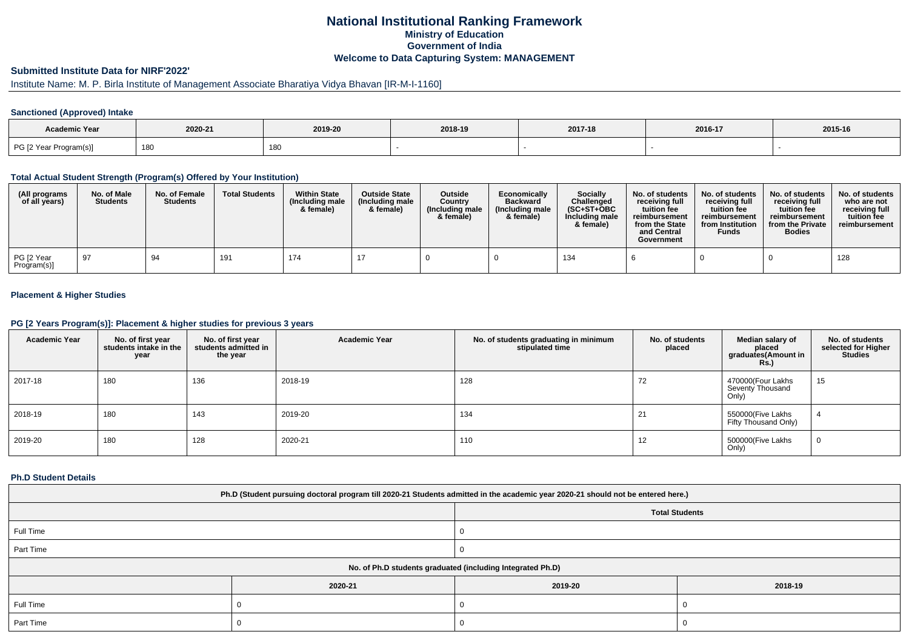# **National Institutional Ranking FrameworkMinistry of Education Government of IndiaWelcome to Data Capturing System: MANAGEMENT**

# **Submitted Institute Data for NIRF'2022'**

# Institute Name: M. P. Birla Institute of Management Associate Bharatiya Vidya Bhavan [IR-M-I-1160]

### **Sanctioned (Approved) Intake**

| Academic Year          |         |         |         |         |         |         |
|------------------------|---------|---------|---------|---------|---------|---------|
|                        | 2020-21 | 2019-20 | 2018-19 | 2017-18 | 2016-17 | 2015-16 |
| PG [2 Year Program(s)] | 180     | 180     |         |         |         |         |

#### **Total Actual Student Strength (Program(s) Offered by Your Institution)**

| (All programs<br>of all years) | No. of Male<br><b>Students</b> | No. of Female<br><b>Students</b> | <b>Total Students</b> | <b>Within State</b><br>(Including male)<br>& female) | <b>Outside State</b><br>(Including male<br>& female) | Outside<br>Country<br>(Including male)<br>& female) | Economically<br><b>Backward</b><br>(Including male<br>& female) | Socially<br>Challenged<br>$(SC+ST+OBC$<br>Including male<br>& female) | No. of students<br>receiving full<br>tuition fee<br>reimbursement<br>from the State<br>and Central<br>Government | No. of students<br>receiving full<br>tuition fee<br>reimbursement<br>from Institution<br><b>Funds</b> | No. of students<br>receiving full<br>tuition fee<br>reimbursement<br>from the Private<br><b>Bodies</b> | No. of students<br>who are not<br>receiving full<br>tuition fee<br>reimbursement |
|--------------------------------|--------------------------------|----------------------------------|-----------------------|------------------------------------------------------|------------------------------------------------------|-----------------------------------------------------|-----------------------------------------------------------------|-----------------------------------------------------------------------|------------------------------------------------------------------------------------------------------------------|-------------------------------------------------------------------------------------------------------|--------------------------------------------------------------------------------------------------------|----------------------------------------------------------------------------------|
| PG [2 Year<br>Program(s)]      | 97                             | 94                               | 191                   | 174                                                  |                                                      |                                                     |                                                                 | 134                                                                   |                                                                                                                  |                                                                                                       |                                                                                                        | 128                                                                              |

## **Placement & Higher Studies**

#### **PG [2 Years Program(s)]: Placement & higher studies for previous 3 years**

| <b>Academic Year</b> | No. of first year<br>students intake in the<br>year | No. of first year<br>students admitted in<br>the year | <b>Academic Year</b> | No. of students graduating in minimum<br>stipulated time | No. of students<br>placed | Median salary of<br>placed<br>graduates(Amount in<br><b>Rs.)</b> | No. of students<br>selected for Higher<br><b>Studies</b> |
|----------------------|-----------------------------------------------------|-------------------------------------------------------|----------------------|----------------------------------------------------------|---------------------------|------------------------------------------------------------------|----------------------------------------------------------|
| 2017-18              | 180                                                 | 136                                                   | 2018-19              | 128                                                      | 72                        | 470000(Four Lakhs<br>Seventy Thousand<br>Only)                   | 15                                                       |
| 2018-19              | 180                                                 | 143                                                   | 2019-20              | 134                                                      | 21                        | 550000(Five Lakhs<br>Fifty Thousand Only)                        |                                                          |
| 2019-20              | 180                                                 | 128                                                   | 2020-21              | 110                                                      | 12                        | 500000(Five Lakhs<br>Only)                                       | 0                                                        |

#### **Ph.D Student Details**

| Ph.D (Student pursuing doctoral program till 2020-21 Students admitted in the academic year 2020-21 should not be entered here.) |         |                       |         |  |  |  |
|----------------------------------------------------------------------------------------------------------------------------------|---------|-----------------------|---------|--|--|--|
|                                                                                                                                  |         | <b>Total Students</b> |         |  |  |  |
| Full Time                                                                                                                        |         |                       |         |  |  |  |
| Part Time                                                                                                                        |         |                       |         |  |  |  |
| No. of Ph.D students graduated (including Integrated Ph.D)                                                                       |         |                       |         |  |  |  |
|                                                                                                                                  | 2020-21 | 2019-20               | 2018-19 |  |  |  |
| Full Time                                                                                                                        |         |                       |         |  |  |  |
| Part Time                                                                                                                        |         |                       |         |  |  |  |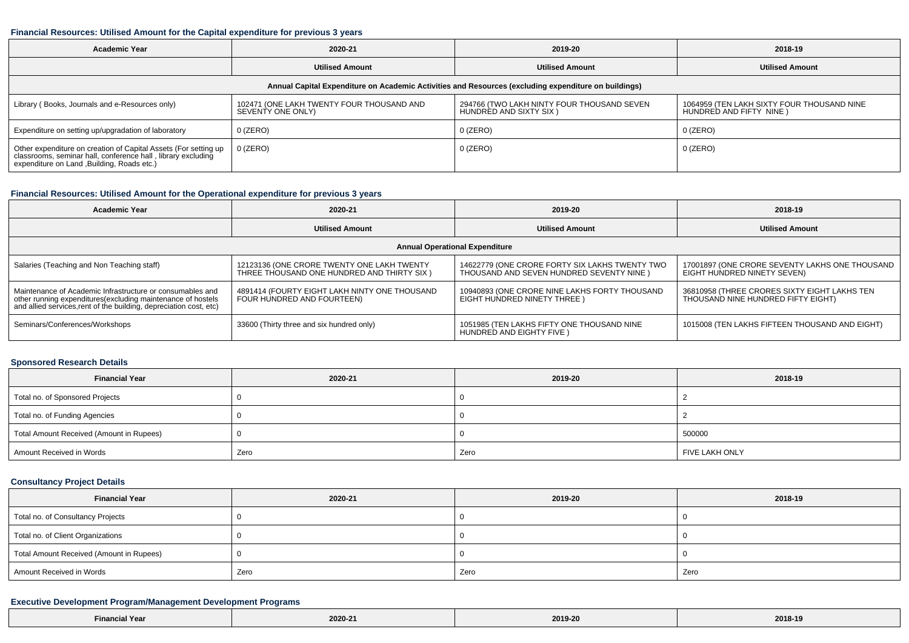#### **Financial Resources: Utilised Amount for the Capital expenditure for previous 3 years**

| <b>Academic Year</b>                                                                                                                                                           | 2020-21                                                        | 2019-20                                                              | 2018-19                                                               |  |  |  |  |  |
|--------------------------------------------------------------------------------------------------------------------------------------------------------------------------------|----------------------------------------------------------------|----------------------------------------------------------------------|-----------------------------------------------------------------------|--|--|--|--|--|
|                                                                                                                                                                                | <b>Utilised Amount</b>                                         | <b>Utilised Amount</b>                                               | <b>Utilised Amount</b>                                                |  |  |  |  |  |
| Annual Capital Expenditure on Academic Activities and Resources (excluding expenditure on buildings)                                                                           |                                                                |                                                                      |                                                                       |  |  |  |  |  |
| Library (Books, Journals and e-Resources only)                                                                                                                                 | 102471 (ONE LAKH TWENTY FOUR THOUSAND AND<br>SEVENTY ONE ONLY) | 294766 (TWO LAKH NINTY FOUR THOUSAND SEVEN<br>HUNDRED AND SIXTY SIX) | 1064959 (TEN LAKH SIXTY FOUR THOUSAND NINE<br>HUNDRED AND FIFTY NINE) |  |  |  |  |  |
| Expenditure on setting up/upgradation of laboratory                                                                                                                            | 0 (ZERO)                                                       | $0$ (ZERO)                                                           | $0$ (ZERO)                                                            |  |  |  |  |  |
| Other expenditure on creation of Capital Assets (For setting up<br>classrooms, seminar hall, conference hall, library excluding<br>expenditure on Land , Building, Roads etc.) | 0 (ZERO)                                                       | $0$ (ZERO)                                                           | 0 (ZERO)                                                              |  |  |  |  |  |

## **Financial Resources: Utilised Amount for the Operational expenditure for previous 3 years**

| Academic Year                                                                                                                                                                                   | 2020-21                                                                                  | 2019-20                                                                                     | 2018-19                                                                            |  |  |  |  |  |
|-------------------------------------------------------------------------------------------------------------------------------------------------------------------------------------------------|------------------------------------------------------------------------------------------|---------------------------------------------------------------------------------------------|------------------------------------------------------------------------------------|--|--|--|--|--|
|                                                                                                                                                                                                 | <b>Utilised Amount</b>                                                                   | <b>Utilised Amount</b>                                                                      | <b>Utilised Amount</b>                                                             |  |  |  |  |  |
| <b>Annual Operational Expenditure</b>                                                                                                                                                           |                                                                                          |                                                                                             |                                                                                    |  |  |  |  |  |
| Salaries (Teaching and Non Teaching staff)                                                                                                                                                      | 12123136 (ONE CRORE TWENTY ONE LAKH TWENTY<br>THREE THOUSAND ONE HUNDRED AND THIRTY SIX) | 14622779 (ONE CRORE FORTY SIX LAKHS TWENTY TWO<br>THOUSAND AND SEVEN HUNDRED SEVENTY NINE ) | 17001897 (ONE CRORE SEVENTY LAKHS ONE THOUSAND<br>EIGHT HUNDRED NINETY SEVEN)      |  |  |  |  |  |
| Maintenance of Academic Infrastructure or consumables and<br>other running expenditures (excluding maintenance of hostels<br>and allied services, rent of the building, depreciation cost, etc) | 4891414 (FOURTY EIGHT LAKH NINTY ONE THOUSAND<br>FOUR HUNDRED AND FOURTEEN)              | 10940893 (ONE CRORE NINE LAKHS FORTY THOUSAND<br>EIGHT HUNDRED NINETY THREE)                | 36810958 (THREE CRORES SIXTY EIGHT LAKHS TEN<br>THOUSAND NINE HUNDRED FIFTY EIGHT) |  |  |  |  |  |
| Seminars/Conferences/Workshops                                                                                                                                                                  | 33600 (Thirty three and six hundred only)                                                | 1051985 (TEN LAKHS FIFTY ONE THOUSAND NINE<br>HUNDRED AND EIGHTY FIVE )                     | 1015008 (TEN LAKHS FIFTEEN THOUSAND AND EIGHT)                                     |  |  |  |  |  |

#### **Sponsored Research Details**

| <b>Financial Year</b>                    | 2020-21 | 2019-20 | 2018-19        |  |
|------------------------------------------|---------|---------|----------------|--|
| Total no. of Sponsored Projects          |         |         |                |  |
| Total no. of Funding Agencies            |         |         |                |  |
| Total Amount Received (Amount in Rupees) |         |         | 500000         |  |
| Amount Received in Words                 | Zero    | Zero    | FIVE LAKH ONLY |  |

## **Consultancy Project Details**

| <b>Financial Year</b>                    | 2020-21 | 2019-20 | 2018-19 |  |
|------------------------------------------|---------|---------|---------|--|
| Total no. of Consultancy Projects        |         |         |         |  |
| Total no. of Client Organizations        |         |         |         |  |
| Total Amount Received (Amount in Rupees) |         |         |         |  |
| Amount Received in Words                 | Zero    | Zero    | Zero    |  |

### **Executive Development Program/Management Development Programs**

| <b>Financial Year</b><br>. | ,,,,,,,,<br>the contract of the contract of the | 2019-20<br>$\sim$ $\sim$ $\sim$ | 2018-19<br>$\sim$ $\sim$ $\sim$ |
|----------------------------|-------------------------------------------------|---------------------------------|---------------------------------|
|----------------------------|-------------------------------------------------|---------------------------------|---------------------------------|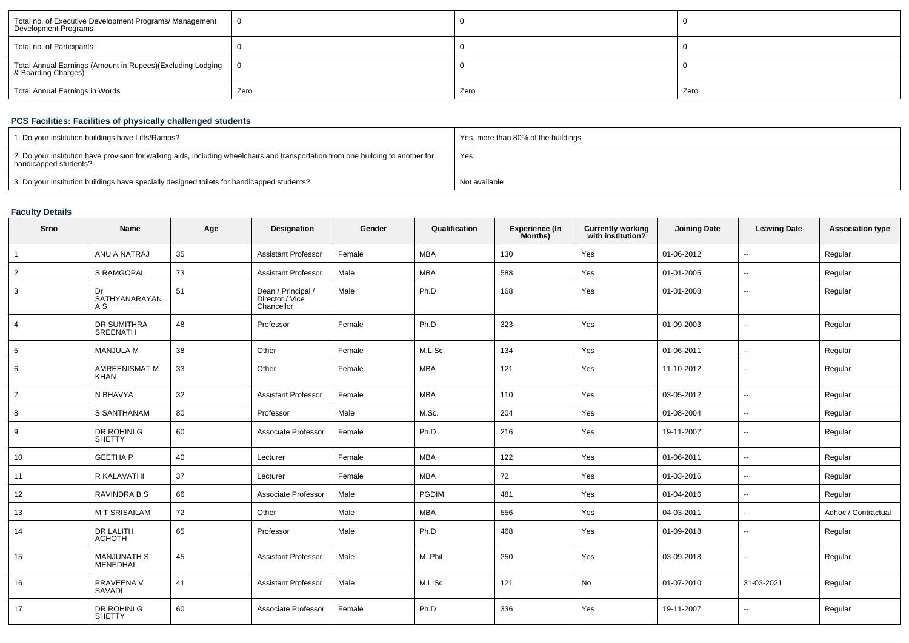| Total no. of Executive Development Programs/ Management<br>Development Programs   |      |      |      |
|-----------------------------------------------------------------------------------|------|------|------|
| Total no. of Participants                                                         |      |      |      |
| Total Annual Earnings (Amount in Rupees)(Excluding Lodging<br>& Boarding Charges) | - 0  |      |      |
| Total Annual Earnings in Words                                                    | Zero | Zero | Zero |

## **PCS Facilities: Facilities of physically challenged students**

| 1. Do your institution buildings have Lifts/Ramps?                                                                                                         | Yes, more than 80% of the buildings |
|------------------------------------------------------------------------------------------------------------------------------------------------------------|-------------------------------------|
| 2. Do your institution have provision for walking aids, including wheelchairs and transportation from one building to another for<br>handicapped students? | Yes                                 |
| 3. Do your institution buildings have specially designed toilets for handicapped students?                                                                 | Not available                       |

# **Faculty Details**

| <b>Srno</b>    | Name                           | Age | <b>Designation</b>                                  | Gender | Qualification | <b>Experience (In</b><br>Months) | <b>Currently working</b><br>with institution? | <b>Joining Date</b> | <b>Leaving Date</b>      | <b>Association type</b> |
|----------------|--------------------------------|-----|-----------------------------------------------------|--------|---------------|----------------------------------|-----------------------------------------------|---------------------|--------------------------|-------------------------|
| $\mathbf{1}$   | ANU A NATRAJ                   | 35  | <b>Assistant Professor</b>                          | Female | <b>MBA</b>    | 130                              | Yes                                           | 01-06-2012          | $\sim$                   | Regular                 |
| 2              | <b>S RAMGOPAL</b>              | 73  | <b>Assistant Professor</b>                          | Male   | <b>MBA</b>    | 588                              | Yes                                           | 01-01-2005          | $\sim$                   | Regular                 |
| 3              | Dr<br>SATHYANARAYAN<br>A S     | 51  | Dean / Principal /<br>Director / Vice<br>Chancellor | Male   | Ph.D          | 168                              | Yes                                           | 01-01-2008          | $\sim$                   | Regular                 |
| $\overline{4}$ | DR SUMITHRA<br><b>SREENATH</b> | 48  | Professor                                           | Female | Ph.D          | 323                              | Yes                                           | 01-09-2003          | $\overline{a}$           | Regular                 |
| 5              | <b>MANJULA M</b>               | 38  | Other                                               | Female | M.LISc        | 134                              | Yes                                           | 01-06-2011          | $\sim$                   | Regular                 |
| 6              | AMREENISMAT M<br>KHAN          | 33  | Other                                               | Female | <b>MBA</b>    | 121                              | Yes                                           | 11-10-2012          | $\sim$                   | Regular                 |
| $\overline{7}$ | N BHAVYA                       | 32  | <b>Assistant Professor</b>                          | Female | <b>MBA</b>    | 110                              | Yes                                           | 03-05-2012          | $\overline{\phantom{a}}$ | Regular                 |
| 8              | S SANTHANAM                    | 80  | Professor                                           | Male   | M.Sc.         | 204                              | Yes                                           | 01-08-2004          | $\mathbf{u}$             | Regular                 |
| 9              | DR ROHINI G<br><b>SHETTY</b>   | 60  | Associate Professor                                 | Female | Ph.D          | 216                              | Yes                                           | 19-11-2007          | $\sim$                   | Regular                 |
| 10             | <b>GEETHAP</b>                 | 40  | Lecturer                                            | Female | <b>MBA</b>    | 122                              | Yes                                           | 01-06-2011          | $\overline{\phantom{a}}$ | Regular                 |
| 11             | R KALAVATHI                    | 37  | Lecturer                                            | Female | <b>MBA</b>    | 72                               | Yes                                           | 01-03-2016          | $\mathbf{u}$             | Regular                 |
| 12             | RAVINDRA B S                   | 66  | Associate Professor                                 | Male   | <b>PGDIM</b>  | 481                              | Yes                                           | 01-04-2016          | $\sim$                   | Regular                 |
| 13             | <b>MT SRISAILAM</b>            | 72  | Other                                               | Male   | <b>MBA</b>    | 556                              | Yes                                           | 04-03-2011          | $\sim$                   | Adhoc / Contractual     |
| 14             | DR LALITH<br><b>ACHOTH</b>     | 65  | Professor                                           | Male   | Ph.D          | 468                              | Yes                                           | 01-09-2018          | $\overline{\phantom{a}}$ | Regular                 |
| 15             | <b>MANJUNATH S</b><br>MENEDHAL | 45  | <b>Assistant Professor</b>                          | Male   | M. Phil       | 250                              | Yes                                           | 03-09-2018          | $\overline{\phantom{a}}$ | Regular                 |
| 16             | PRAVEENA V<br><b>SAVADI</b>    | 41  | <b>Assistant Professor</b>                          | Male   | M.LISc        | 121                              | No                                            | 01-07-2010          | 31-03-2021               | Regular                 |
| 17             | DR ROHINI G<br><b>SHETTY</b>   | 60  | Associate Professor                                 | Female | Ph.D          | 336                              | Yes                                           | 19-11-2007          | $\overline{\phantom{a}}$ | Regular                 |